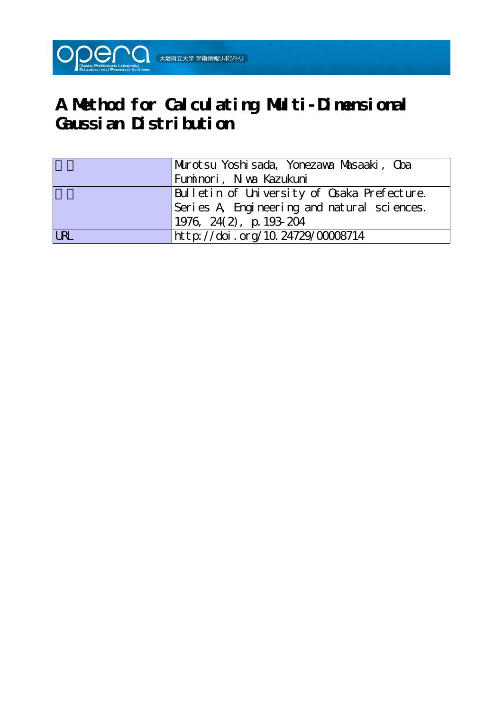

# **A Method for Calculating Multi-Dimensional Gaussian Distribution**

|            | Murotsu Yoshisada, Yonezawa Musaaki, Oba    |
|------------|---------------------------------------------|
|            | Fuminori, Niwa Kazukuni                     |
|            | Bulletin of University of Osaka Prefecture. |
|            | Series A Engineering and natural sciences.  |
|            | $1976, 24(2), p. 193-204$                   |
| <b>LRL</b> | http://doi.org/10.24729/00008714            |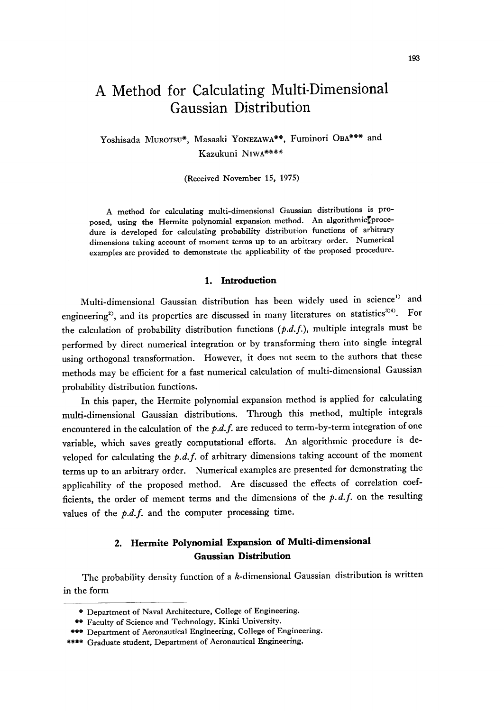# A Method for Calculating Multi-Dimensional Gaussian Distribution

Yoshisada MuRoTsu\*, Masaaki YoNEzAwA\*\*, Fuminori OBA\*\*\* and Kazukuni NiwA\*\*\*\*

(Received November 15, 1975)

 A method for calculating multi-dimensional Gaussian distributions is pro posed, using the Hermite polynomial expansion method. An algorithmic proce dure is developed for calculating probability distribution functions of arbitrary dimensions taking account of moment terms up to an arbitrary order. Numerical examples are provided to demonstrate the applicability of the proposed procedure.

#### 1. Introduction

 Multi-dimensional Gaussian distribution has been widely used in science') and engineering<sup>2)</sup>, and its properties are discussed in many literatures on statistics<sup>3)4</sup>). For the calculation of probability distribution functions  $(p.d.f.)$ , multiple integrals must be performed by direct numerical integration or by transforming them into single integral using orthogonal transformation. However, it does not seem to the authors that these methods may be efficient for a fast numerical calculation of multi-dimensional Gaussian probability distribution functions.

 In this paper, the Hermite polynomial expansion method is applied for calculating multi-dimensional Gaussian distributions. Through this method, multiple integrals encountered in the calculation of the  $p.d.f.$  are reduced to term-by-term integration of one variable, which saves greatly computational efforts. An algorithmic procedure is developed for calculating the  $p.d.f.$  of arbitrary dimensions taking account of the moment terms up to an arbitrary order. Numerical examples are presented for demonstrating the applicability of the proposed method. Are discussed the effects of correlation coefficients, the order of mement terms and the dimensions of the  $p.d.f.$  on the resulting values of the  $p.d.f.$  and the computer processing time.

# 2. Hermite Polynomial Expansion of Multi-dimensional Gaussian Distribution

The probability density function of a  $k$ -dimensional Gaussian distribution is written in the form

 <sup>\*</sup> Department of Naval Architecture, College of Engineering.

 <sup>\*\*</sup> Faculty of Science and Technology, Kinki University.

<sup>\*\*\*</sup> Department of Aeronautical Engineering, College of Engineering.

<sup>\*\*\*\*</sup> Graduate student, Department of Aeronautical Engineering.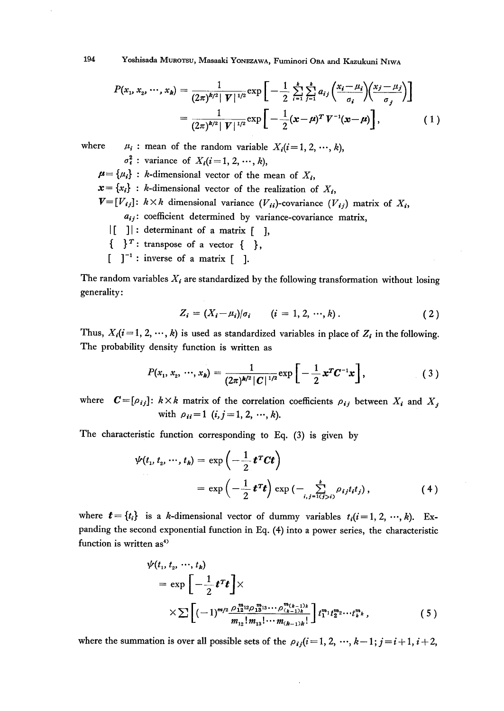194 Yoshisada MuRoTsu, Masaaki YoNEzAwA, Fuminori OBA and Kazukuni NiwA

$$
P(x_1, x_2, \cdots, x_k) = \frac{1}{(2\pi)^{k/2} |V|^{1/2}} \exp\left[-\frac{1}{2} \sum_{i=1}^k \sum_{j=1}^k a_{ij} \left(\frac{x_i - \mu_i}{\sigma_i}\right) \left(\frac{x_j - \mu_j}{\sigma_j}\right)\right]
$$

$$
= \frac{1}{(2\pi)^{k/2} |V|^{1/2}} \exp\left[-\frac{1}{2} (x - \mu)^T V^{-1} (x - \mu)\right],
$$
(1)

where  $\mu_i$ : mean of the random variable  $X_i(i=1,2, \dots, k)$ ,  $\sigma_i^2$ : variance of  $X_i(i=1, 2, \dots, k)$ ,  $p = \{u_i\}$ : k-dimensional vector of the mean of  $X_i$ ,  $\mathbf{x} = \{x_i\}$ : k-dimensional vector of the realization of  $X_i$ ,  $V=[V_{ij}]: k\times k$  dimensional variance  $(V_{ii})$ -covariance  $(V_{ij})$  matrix of  $X_i$ ,  $a_{ij}$ : coefficient determined by variance-covariance matrix,  $|$ [ ]|: determinant of a matrix  $|$  ],  $\{\ \}^T:$  transpose of a vector  $\{\ \}$ ,

 $\lceil \cdot \rceil^{-1}$ : inverse of a matrix  $\lceil \cdot \rceil$ .

The random variables  $X_i$  are standardized by the following transformation without losing generality:

$$
Z_i = (X_i - \mu_i)/\sigma_i \qquad (i = 1, 2, \cdots, k). \tag{2}
$$

Thus,  $X_i(i=1, 2, \dots, k)$  is used as standardized variables in place of  $Z_i$  in the following. The probability density function is written as

$$
P(x_1, x_2, \cdots, x_k) = \frac{1}{(2\pi)^{k/2} |C|^{1/2}} \exp \left[ -\frac{1}{2} x^T C^{-1} x \right], \qquad (3)
$$

where  $C=[\rho_{ij}]$ :  $k\times k$  matrix of the correlation coefficients  $\rho_{ij}$  between  $X_i$  and  $X_j$ with  $\rho_{ii} = 1$  (i,  $j = 1, 2, \dots, k$ ).

The characteristic function corresponding to Eq. (3) is given by

$$
\psi(t_1, t_2, \cdots, t_k) = \exp\left(-\frac{1}{2} \mathbf{t}^T \mathbf{C} \mathbf{t}\right)
$$

$$
= \exp\left(-\frac{1}{2} \mathbf{t}^T \mathbf{t}\right) \exp\left(-\sum_{i,j=1}^k \rho_{ij} t_i t_j\right), \tag{4}
$$

where  $t={t_i}$  is a k-dimensional vector of dummy variables  $t_i(i=1,2, \dots, k)$ . Expanding the second exponential function in Eq. (4) into a power series, the characteristic function is written as<sup>4)</sup>

$$
\psi(t_1, t_2, \cdots, t_k) = \exp\left[-\frac{1}{2}t^Tt\right] \times \times \sum \left[(-1)^{m/2} \frac{\rho_{12}^{m_1} \omega_{12}^{m_2} \cdots \rho_{(k-1)k}^{m_{(k-1)k}}}{m_{12}! m_{13}! \cdots m_{(k-1)k}!} \right] t_1^{m_1} t_2^{m_2} \cdots t_k^{m_k}, \qquad (5)
$$

where the summation is over all possible sets of the  $\rho_{ij}(i=1, 2, \dots, k-1; j=i+1, i+2,$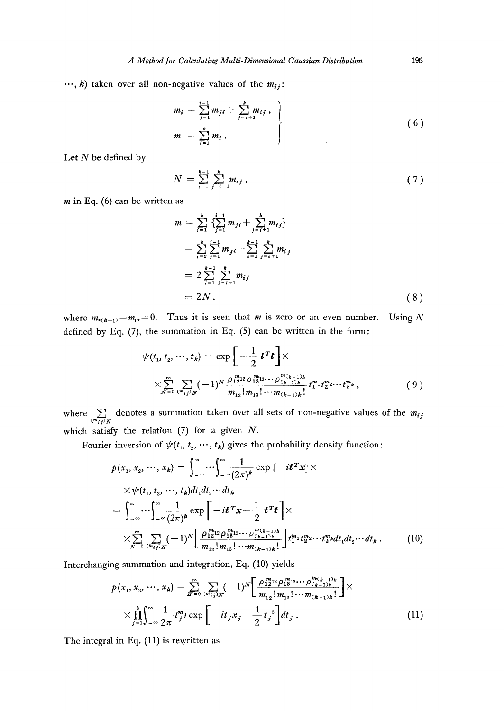$\cdots$ , k) taken over all non-negative values of the  $m_{ij}$ :

$$
m_{i} = \sum_{j=1}^{i-1} m_{ji} + \sum_{j=i+1}^{k} m_{ij},
$$
  
\n
$$
m = \sum_{i=1}^{k} m_{i}.
$$
 (6)

Let  $N$  be defined by

$$
N = \sum_{i=1}^{k-1} \sum_{j=i+1}^{k} m_{ij}, \qquad (7)
$$

 $m$  in Eq. (6) can be written as

$$
m = \sum_{i=1}^{k} \left\{ \sum_{j=1}^{i-1} m_{ji} + \sum_{j=i+1}^{k} m_{ij} \right\}
$$
  
\n
$$
= \sum_{i=2}^{k} \sum_{j=1}^{i-1} m_{ji} + \sum_{i=1}^{k-1} \sum_{j=i+1}^{k} m_{ij}
$$
  
\n
$$
= 2 \sum_{i=1}^{k-1} \sum_{j=i+1}^{k} m_{ij}
$$
  
\n
$$
= 2N.
$$
 (8)

where  $m_{(k+1)} = m_0 = 0$ . Thus it is seen that *m* is zero or an even number. Using N defined by Eq.  $(7)$ , the summation in Eq.  $(5)$  can be written in the form:

$$
\psi(t_1, t_2, \cdots, t_k) = \exp\left[-\frac{1}{2}t^T t\right] \times
$$
  

$$
\times \sum_{N=0}^{\infty} \sum_{\substack{(m_i,j)_N}} (-1)^N \frac{\rho_{12}^{m_2} \rho_{13}^{m_3} \cdots \rho_{(k-1)k}^{m_{(k-1)k}}}{m_{12}! m_{13}! \cdots m_{(k-1)k}!} t_1^{m_1} t_2^{m_2} \cdots t_k^{m_k},
$$
\n(9)

where  $\sum_{(m_{ij})_N}$  denotes a summation taken over all sets of non-negative values of the  $m_{ij}$ which satisfy the relation  $(7)$  for a given N.

Fourier inversion of  $\psi(t_1, t_2, \dots, t_k)$  gives the probability density function:

$$
p(x_1, x_2, \cdots, x_k) = \int_{-\infty}^{\infty} \cdots \int_{-\infty}^{\infty} \frac{1}{(2\pi)^k} \exp\left[-it^T x\right] \times
$$
  
 
$$
\times \psi(t_1, t_2, \cdots, t_k) dt_1 dt_2 \cdots dt_k
$$
  
= 
$$
\int_{-\infty}^{\infty} \cdots \int_{-\infty}^{\infty} \frac{1}{(2\pi)^k} \exp\left[-it^T x - \frac{1}{2} t^T t\right] \times
$$
  

$$
\times \sum_{N=0}^{\infty} \sum_{\substack{(m_i,j)_N}} (-1)^N \left[\frac{\rho_{12}^{m_{21}} \rho_{13}^{m_{33}} \cdots \rho_{(k-1)k}^{m_{(k-1)k}}}{m_{12}! m_{13}! \cdots m_{(k-1)k}!}\right] t_1^{m_1} t_2^{m_2} \cdots t_k^{m_k} dt_1 dt_2 \cdots dt_k.
$$
 (10)

Interchanging summation and integration, Eq. (10) yields

$$
p(x_1, x_2, \cdots, x_k) = \sum_{N=0}^{\infty} \sum_{\substack{(m_{ij})_N}} (-1)^N \left[ \frac{\rho_{12}^{m_{12}} \rho_{13}^{m_{13}} \cdots \rho_{(k-1)k}^{m_{(k-1)k}}}{m_{12}! m_{13}! \cdots m_{(k-1)k}!} \right] \times
$$
  
 
$$
\times \prod_{j=1}^k \int_{-\infty}^{\infty} \frac{1}{2\pi} t_j^{m_j} \exp \left[ -it_j x_j - \frac{1}{2} t_j^2 \right] dt_j . \tag{11}
$$

The integral in Eq. (11) is rewritten as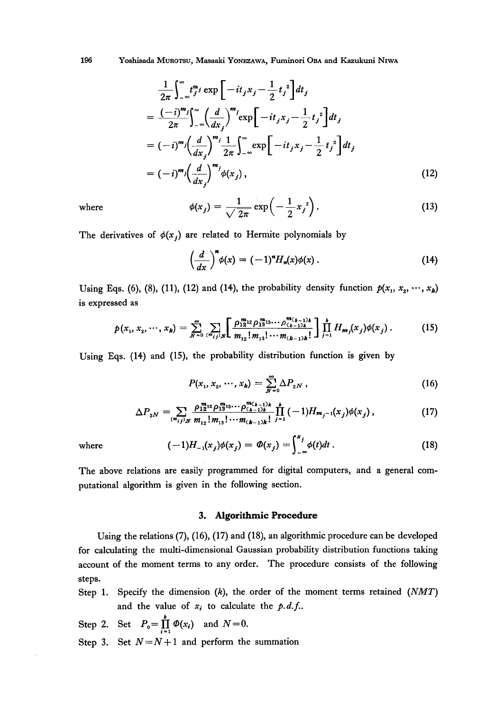196 Yoshisada MUROTSU, Masaaki YONEZAWA, Fuminori OBA and Kazukuni NIWA

$$
\frac{1}{2\pi} \int_{-\infty}^{\infty} t_j^m j \exp\left[-it_j x_j - \frac{1}{2}t_j^2\right] dt_j
$$
\n
$$
= \frac{(-i)^m j}{2\pi} \int_{-\infty}^{\infty} \left(\frac{d}{dx_j}\right)^m i \exp\left[-it_j x_j - \frac{1}{2}t_j^2\right] dt_j
$$
\n
$$
= (-i)^m j \left(\frac{d}{dx_j}\right)^m \frac{1}{2\pi} \int_{-\infty}^{\infty} \exp\left[-it_j x_j - \frac{1}{2}t_j^2\right] dt_j
$$
\n
$$
= (-i)^m j \left(\frac{d}{dx_j}\right)^m j \phi(x_j), \qquad (12)
$$

where

$$
\phi(x_j) = \frac{1}{\sqrt{2\pi}} \exp\left(-\frac{1}{2}x_j^2\right). \tag{13}
$$

The derivatives of  $\phi(x_i)$  are related to Hermite polynomials by

$$
\left(\frac{d}{dx}\right)^n \phi(x) = (-1)^n H_n(x) \phi(x) \,. \tag{14}
$$

Using Eqs. (6), (8), (11), (12) and (14), the probability density function  $p(x_1, x_2, \dots, x_k)$ is expressed as

$$
p(x_1, x_2, \cdots, x_k) = \sum_{N=0}^{\infty} \sum_{\{m_{ij}\}\mid N} \left[ \frac{\rho_{12}^{m_{22}} \rho_{13}^{m_{33}} \cdots \rho_{(k-1)k}^{m_{(k-1)k}}}{m_{12}! m_{13}! \cdots m_{(k-1)k}!} \right] \prod_{j=1}^k H_{m_j}(x_j) \phi(x_j) \,. \tag{15}
$$

Using Eqs. (14) and (15), the probability distribution function is given by

$$
P(x_1, x_2, \cdots, x_k) = \sum_{N=0}^{\infty} \Delta P_{2N}, \qquad (16)
$$

$$
\Delta P_{2N} = \sum_{(m_{ij})_N} \frac{\rho_{12}^{m_{12}} \rho_{13}^{m_{13}} \cdots \rho_{(k-1)k}^{m_{(k-1)k}}}{m_{12}! m_{13}! \cdots m_{(k-1)k}!} \prod_{j=1}^k (-1) H_{m_j-1}(x_j) \phi(x_j) , \qquad (17)
$$

where

$$
(-1)H_{-1}(x_j)\phi(x_j) = \Phi(x_j) = \int_{-\infty}^{x_j} \phi(t)dt.
$$
 (18)

The above relations are easily programmed for digital computers, and a general computational algorithm is given in the following section.

# 3. Algorithmic Procedure

Using the relations (7), (16), (17) and (18), an algorithmic procedure can be developed for calculating the multi-dimensional Gaussian probability distribution functions taking account of the moment terms to any order. The procedure consists of the following steps.

Specify the dimension  $(k)$ , the order of the moment terms retained  $(NMT)$ Step 1. and the value of  $x_i$  to calculate the  $p.d.f..$ 

Step 2. Set 
$$
P_0 = \prod_{i=1}^k \Phi(x_i)
$$
 and  $N=0$ .

Step 3. Set  $N = N + 1$  and perform the summation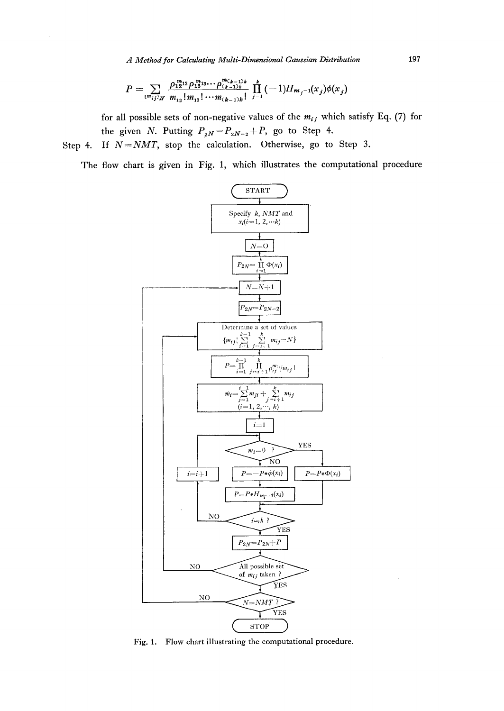$$
P = \sum_{(m_{ij})_M} \frac{\rho_{12}^{m_{21}2} \rho_{13}^{m_{33} \cdots} \rho_{(k-1)k}^{m_{k,k-1}k}}{m_{12}! m_{13}! \cdots m_{(k-1)k}!} \prod_{j=1}^k (-1) H_{m_j-1}(x_j) \phi(x_j)
$$

for all possible sets of non-negative values of the  $m_{ij}$  which satisfy Eq. (7) for the given N. Putting  $P_{2N} = P_{2N-2} + P$ , go to Step 4.

If  $N = NMT$ , stop the calculation. Otherwise, go to Step 3. Step 4.

The flow chart is given in Fig. 1, which illustrates the computational procedure



Fig. 1. Flow chart illustrating the computational procedure.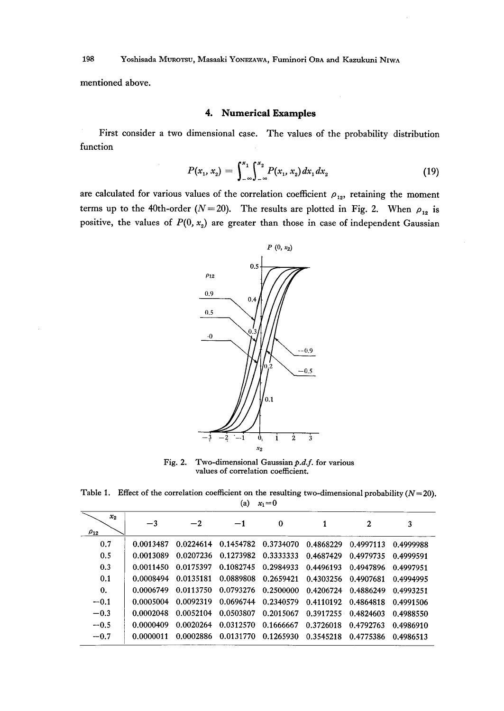mentioned above.

# 4. Numerical Examples

 First consider a two dimensional case. The values of the probability distribution function

$$
P(x_1, x_2) = \int_{-\infty}^{x_1} \int_{-\infty}^{x_2} P(x_1, x_2) dx_1 dx_2 \qquad (19)
$$

are calculated for various values of the correlation coefficient  $\rho_{12}$ , retaining the moment terms up to the 40th-order ( $N=20$ ). The results are plotted in Fig. 2. When  $\rho_{12}$  is positive, the values of  $P(0, x_2)$  are greater than those in case of independent Gaussian



Fig. 2. Two-dimensional Gaussian  $p.d.f.$  for various values of correlation coefficient.

Table 1. Effect of the correlation coefficient on the resulting two-dimensional probability  $(N=20)$ . (a)  $x_1=0$ 

| $x_{2}$<br>$\rho_{12}$ | $-3$      | $^{-2}$   | $-1$ | $\bf{0}$                                                    | $\mathbf{2}$                  | 3         |  |
|------------------------|-----------|-----------|------|-------------------------------------------------------------|-------------------------------|-----------|--|
| 0.7                    | 0.0013487 |           |      | 0.0224614 0.1454782 0.3734070 0.4868229 0.4997113 0.4999988 |                               |           |  |
| 0.5                    | 0.0013089 |           |      | 0.0207236 0.1273982 0.3333333 0.4687429 0.4979735 0.4999591 |                               |           |  |
| 0.3                    | 0.0011450 | 0.0175397 |      | 0.1082745 0.2984933                                         | 0.4496193 0.4947896 0.4997951 |           |  |
| 0.1                    | 0.0008494 | 0.0135181 |      | 0.0889808 0.2659421                                         | 0.4303256 0.4907681           | 0.4994995 |  |
| $\mathbf{0}$ .         | 0.0006749 | 0.0113750 |      | 0.0793276 0.2500000 0.4206724 0.4886249                     |                               | 0.4993251 |  |
| $-0.1$                 | 0.0005004 | 0.0092319 |      | 0.0696744 0.2340579 0.4110192 0.4864818 0.4991506           |                               |           |  |
| $-0.3$                 | 0.0002048 | 0.0052104 |      | 0.0503807  0.2015067  0.3917255  0.4824603  0.4988550       |                               |           |  |
| $-0.5$                 | 0.0000409 | 0.0020264 |      | 0.0312570 0.1666667 0.3726018 0.4792763                     |                               | 0.4986910 |  |
| $-0.7$                 | 0.0000011 | 0.0002886 |      | 0.0131770 0.1265930                                         | 0.3545218 0.4775386 0.4986513 |           |  |
|                        |           |           |      |                                                             |                               |           |  |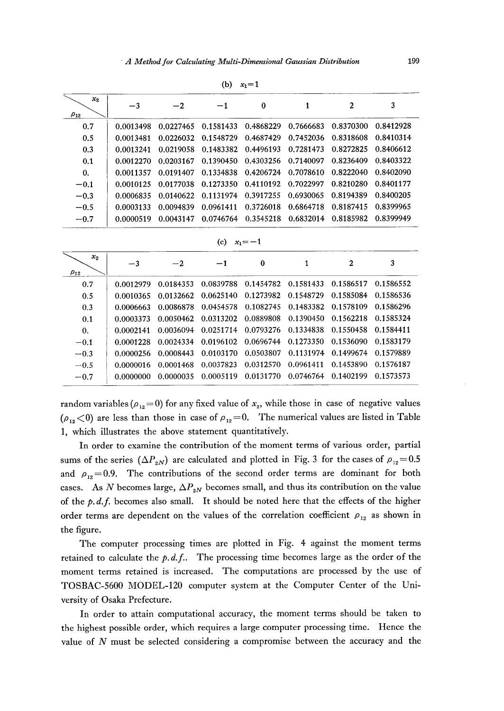|                        |           |           | (b)       | $x_1 = 1$ |           |           |           |
|------------------------|-----------|-----------|-----------|-----------|-----------|-----------|-----------|
| $x_{2}$<br>$\rho_{12}$ | $-3$      | $-2$      | -1        | 0         |           | 2         | 3         |
| 0.7                    | 0.0013498 | 0.0227465 | 0.1581433 | 0.4868229 | 0.7666683 | 0.8370300 | 0.8412928 |
| 0.5                    | 0.0013481 | 0.0226032 | 0.1548729 | 0.4687429 | 0.7452036 | 0.8318608 | 0.8410314 |
| 0.3                    | 0.0013241 | 0.0219058 | 0.1483382 | 0.4496193 | 0.7281473 | 0.8272825 | 0.8406612 |
| 0.1                    | 0.0012270 | 0.0203167 | 0.1390450 | 0.4303256 | 0.7140097 | 0.8236409 | 0.8403322 |
| $\mathbf{0}$ .         | 0.0011357 | 0.0191407 | 0.1334838 | 0.4206724 | 0.7078610 | 0.8222040 | 0.8402090 |
| $-0.1$                 | 0.0010125 | 0.0177038 | 0.1273350 | 0.4110192 | 0.7022997 | 0.8210280 | 0.8401177 |
| $-0.3$                 | 0.0006835 | 0.0140622 | 0.1131974 | 0.3917255 | 0.6930065 | 0.8194389 | 0.8400205 |
| $-0.5$                 | 0.0003133 | 0.0094839 | 0.0961411 | 0.3726018 | 0.6864718 | 0.8187415 | 0.8399965 |
| $-0.7$                 | 0.0000519 | 0.0043147 | 0.0746764 | 0.3545218 | 0.6832014 | 0.8185982 | 0.8399949 |

$$
(b) x_1=1
$$

$$
(c) \quad x_1 = -1
$$

| $x_{2}$<br>$\rho_{12}$ | $-3$       | $-2$      | $-1$      | 0         | 2                                                           | 3         |
|------------------------|------------|-----------|-----------|-----------|-------------------------------------------------------------|-----------|
| 0.7                    | 0.0012979  | 0.0184353 |           |           | 0.0839788 0.1454782 0.1581433 0.1586517                     | 0.1586552 |
| 0.5                    | 0.0010365  |           |           |           | 0.0132662 0.0625140 0.1273982 0.1548729 0.1585084           | 0.1586536 |
| 0.3                    | 0 0006663. |           |           |           | 0.0086878  0.0454578  0.1082745  0.1483382  0.1578109       | 0.1586296 |
| 0.1                    | 0.0003373  |           |           |           | 0.0050462 0.0313202 0.0889808 0.1390450 0.1562218 0.1585324 |           |
| 0.                     | 0.0002141  | 0.0036094 |           |           | 0.0251714 0.0793276 0.1334838 0.1550458 0.1584411           |           |
| $-0.1$                 | 0.0001228  |           |           |           | 0.0024334 0.0196102 0.0696744 0.1273350 0.1536090 0.1583179 |           |
| $-0.3$                 | 0.0000256  | 0.0008443 |           |           | 0.0103170 0.0503807 0.1131974 0.1499674 0.1579889           |           |
| $-0.5$                 | 0.0000016  | 0.0001468 | 0.0037823 |           | 0.0312570  0.0961411  0.1453890                             | 0.1576187 |
| $-0.7$                 | 0.0000000  | 0.0000035 | 0.0005119 | 0.0131770 | 0.0746764 0.1402199                                         | 0.1573573 |

random variables ( $\rho_{12}=0$ ) for any fixed value of  $x_2$ , while those in case of negative values ( $\rho_{12}$  < 0) are less than those in case of  $\rho_{12}=0$ . The numerical values are listed in Table 1, which illustrates the above statement quantitatively.

 In order to examine the contribution of the moment terms of various order, partial sums of the series  $(\Delta P_{2N})$  are calculated and plotted in Fig. 3 for the cases of  $\rho_{12}=0.5$ and  $\rho_{12}=0.9$ . The contributions of the second order terms are dominant for both cases. As N becomes large,  $\Delta P_{2N}$  becomes small, and thus its contribution on the value of the  $p.d.f.$  becomes also small. It should be noted here that the effects of the higher order terms are dependent on the values of the correlation coefficient  $\rho_{12}$  as shown in the figure.

 The computer processing times are plotted in Fig. 4 against the moment terms retained to calculate the  $p.d.f.$  The processing time becomes large as the order of the moment terms retained is increased. The computations are processed by the use of TOSBAC-5600 MODEL-120 computer system at the Computer Center of the University of Osaka Prefecture.

 In order to attain cornputational accuracy, the moment terms should be taken to the highest possible order, which requires a large computer processing time. Hence the value of N must be selected considering a compromise between the accuracy and the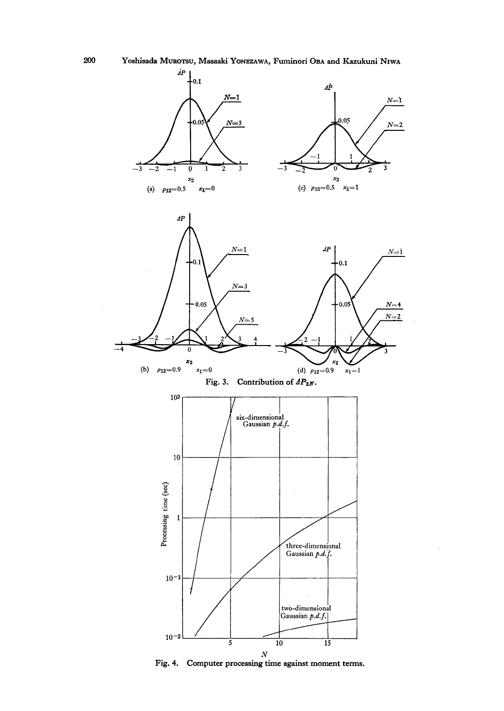

 $\bar{z}$ 

200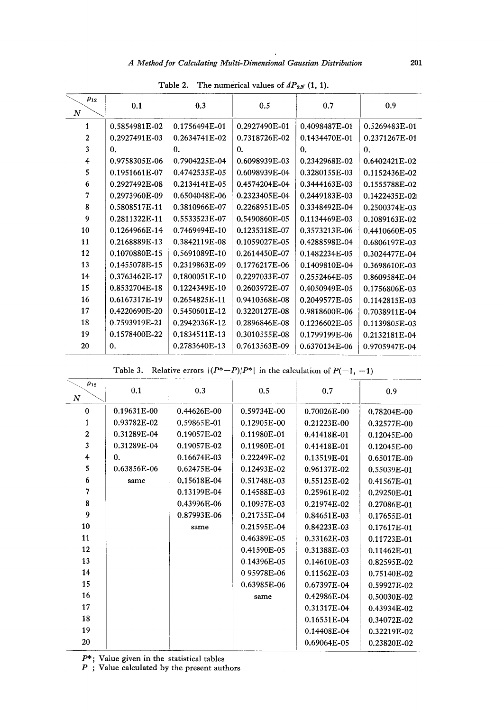# A Method for Calculating Multi-Dimensional Gaussian Distribution

| $\rho_{12}$<br>$\boldsymbol{N}$ | 0.1           | 0.3            | 0.5            | 0.7           | 0.9            |
|---------------------------------|---------------|----------------|----------------|---------------|----------------|
| 1                               | 0.5854981E-02 | 0.1756494E-01  | 0.2927490E-01  | 0.4098487E-01 | 0.5269483E-01  |
| $\overline{2}$                  | 0.2927491E-03 | 0.2634741E-02  | 0.7318726E-02  | 0.1434470E-01 | 0.2371267E-01  |
| 3                               | 0.            | $\mathbf{0}$ . | $\mathbf{0}$ . | $\bf{0}$ .    | 0.             |
| 4                               | 0.9758305E-06 | 0.7904225E-04  | 0.6098939E-03  | 0.2342968E-02 | 0.6402421E-02  |
| 5                               | 0.1951661E-07 | 0.4742535E-05  | 0.6098939E-04  | 0.3280155E-03 | 0.1152436E-02  |
| 6                               | 0.2927492E-08 | 0.2134141E-05  | 0.4574204E-04  | 0.3444163E-03 | 0.1555788E-02  |
| 7                               | 0.2973960E-09 | 0.6504048E-06  | 0.2323405E-04  | 0.2449183E-03 | 0.1422435E-02L |
| 8                               | 0.5808517E-11 | 0.3810966E-07  | 0.2268951E-05  | 0.3348492E-04 | 0.2500374E-03  |
| 9                               | 0.2811322E-11 | 0.5533523E-07  | 0.5490860E-05  | 0.1134469E-03 | 0.1089163E-02  |
| 10                              | 0.1264966E-14 | 0.7469494E-10  | 0.1235318E-07  | 0.3573213E-06 | 0.4410660E-05  |
| 11                              | 0.2168889E-13 | 0.3842119E-08  | 0.1059027E-05  | 0.4288598E-04 | 0.6806197E-03  |
| 12                              | 0.1070880E-15 | 0.5691089E-10  | 0.2614450E-07  | 0.1482234E-05 | 0.3024477E-04  |
| 13                              | 0.1455078E-15 | 0.2319863E-09  | 0.1776217E-06  | 0.1409810E-04 | 0.3698610E-03  |
| 14                              | 0.3763462E-17 | 0.1800051E-10  | 0.2297033E-07  | 0.2552464E-05 | 0.8609584E-04  |
| 15                              | 0.8532704E-18 | 0.1224349E-10  | 0.2603972E-07  | 0.4050949E-05 | 0.1756806E-03  |
| 16                              | 0.6167317E-19 | 0.2654825E-11  | 0.9410568E-08  | 0.2049577E-05 | 0.1142815E-03  |
| 17                              | 0.4220690E-20 | 0.5450601E-12  | 0.3220127E-08  | 0.9818600E-06 | 0.7038911E-04  |
| 18                              | 0.7593919E-21 | 0.2942036E-12  | 0.2896846E-08  | 0.1236602E-05 | 0.1139805E-03  |
| 19                              | 0.1578400E-22 | 0.1834511 E-13 | 0.3010555E-08  | 0.1799199E-06 | 0.2132181E-04  |
| 20                              | 0.            | 0.2783640E-13  | 0.7613563E-09  | 0.6370134E-06 | 0.9705947E-04  |
|                                 |               |                |                |               |                |

Table 2. The numerical values of  $AP_{2N}(1, 1)$ .

|  | Table 3. Relative errors $ (P^*-P)/P^* $ in the calculation of $P(-1, -1)$ |  |
|--|----------------------------------------------------------------------------|--|
|  |                                                                            |  |

| $\rho_{12}$<br>$\boldsymbol{N}$ | 0.1         | 0.3         | 0.5         | 0.7         | 0.9         |
|---------------------------------|-------------|-------------|-------------|-------------|-------------|
| $\bf{0}$                        | 0.19631E-00 | 0.44626E-00 | 0.59734E-00 | 0.70026E-00 | 0.78204E-00 |
| 1                               | 0.93782E-02 | 0.59865E-01 | 0.12905E-00 | 0.21223E-00 | 0.32577E-00 |
| $\mathbf{2}$                    | 0.31289E-04 | 0.19057E-02 | 0.11980E-01 | 0.41418E-01 | 0.12045E-00 |
| 3                               | 0.31289E-04 | 0.19057E-02 | 0.11980E-01 | 0.41418E-01 | 0.12045E-00 |
| 4                               | 0.          | 0.16674E-03 | 0.22249E-02 | 0.13519E-01 | 0.65017E-00 |
| 5                               | 0.63856E-06 | 0.62475E-04 | 0.12493E-02 | 0.96137E-02 | 0.55039E-01 |
| 6                               | same        | 0.15618E-04 | 0.51748E-03 | 0.55125E-02 | 0.41567E-01 |
| 7                               |             | 0.13199E-04 | 0.14588E-03 | 0.25961E-02 | 0.29250E-01 |
| 8                               |             | 0.43996E-06 | 0.10957E-03 | 0.21974E-02 | 0.27086E-01 |
| $\boldsymbol{Q}$                |             | 0.87993E-06 | 0.21755E-04 | 0.84651E-03 | 0.17655E-01 |
| 10                              |             | same        | 0.21595E-04 | 0.84223E-03 | 0.17617E-01 |
| 11                              |             |             | 0.46389E-05 | 0.33162E-03 | 0.11723E-01 |
| 12                              |             |             | 0.41590E-05 | 0.31388E-03 | 0.11462E-01 |
| 13                              |             |             | 0.14396E-05 | 0.14610E-03 | 0.82595E-02 |
| 14                              |             |             | 0.95978E-06 | 0.11562E-03 | 0.75140E-02 |
| 15                              |             |             | 0.63985E-06 | 0.67397E-04 | 0.59927E-02 |
| 16                              |             |             | same        | 0.42986E-04 | 0.50030E-02 |
| 17                              |             |             |             | 0.31317E-04 | 0.43934E-02 |
| 18                              |             |             |             | 0.16551E-04 | 0.34072E-02 |
| 19                              |             |             |             | 0.14408E-04 | 0.32219E-02 |
| 20                              |             |             |             | 0.69064E-05 | 0.23820E-02 |

 $P^*$ ; Value given in the statistical table<br>  $P$ ; Value calculated by the present at

Value calculated by the present author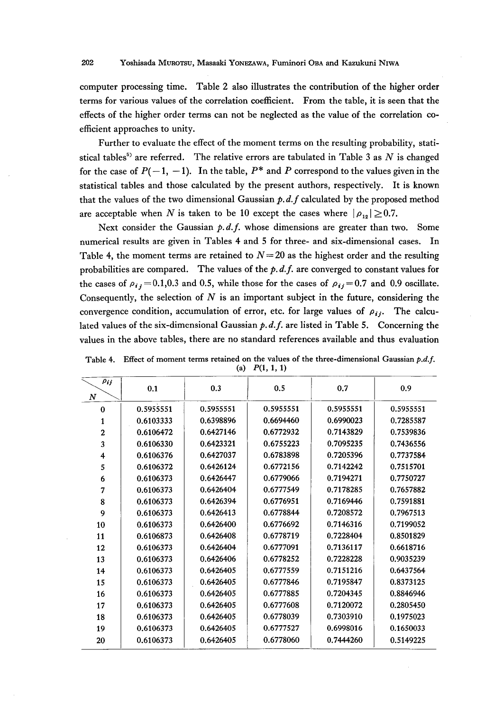computer processing time. Table 2 also illustrates the contribution of the higher order terms for various values of the correlation coefficient. From the table, it is seen that the effects of the higher order terms can not be neglected as the value of the correlation coefficient approaches to unity.

Further to evaluate the effect of the moment terms on the resulting probability, statistical tables<sup>5)</sup> are referred. The relative errors are tabulated in Table 3 as  $N$  is changed for the case of  $P(-1, -1)$ . In the table,  $P^*$  and P correspond to the values given in the statistical tables and those calculated by the present authors, respectively. It is known that the values of the two dimensional Gaussian  $p.d.f$  calculated by the proposed method are acceptable when N is taken to be 10 except the cases where  $|\rho_{12}| \geq 0.7$ .

Next consider the Gaussian  $p.d.f.$  whose dimensions are greater than two. Some numerical results are given in Tables 4 and 5 for three- and six-dimensional cases. In Table 4, the moment terms are retained to  $N=20$  as the highest order and the resulting probabilities are compared. The values of the  $p.d.f.$  are converged to constant values for the cases of  $\rho_{ij} = 0.1, 0.3$  and 0.5, while those for the cases of  $\rho_{ij} = 0.7$  and 0.9 oscillate. Consequently, the selection of  $N$  is an important subject in the future, considering the convergence condition, accumulation of error, etc. for large values of  $\rho_{ij}$ . The calculated values of the six-dimensional Gaussian  $p.d.f.$  are listed in Table 5. Concerning the values in the above tables, there are no standard references available and thus evaluation

| $\rho_{ij}$<br>N | 0.1       | 0.3       | 0.5       | 0.7       | 0.9       |
|------------------|-----------|-----------|-----------|-----------|-----------|
| 0                | 0.5955551 | 0.5955551 | 0.5955551 | 0.5955551 | 0.5955551 |
| 1                | 0.6103333 | 0.6398896 | 0.6694460 | 0.6990023 | 0.7285587 |
| $\mathbf 2$      | 0.6106472 | 0.6427146 | 0.6772932 | 0.7143829 | 0.7539836 |
| 3                | 0.6106330 | 0.6423321 | 0.6755223 | 0.7095235 | 0.7436556 |
| 4                | 0.6106376 | 0.6427037 | 0.6783898 | 0.7205396 | 0.7737584 |
| 5                | 0.6106372 | 0.6426124 | 0.6772156 | 0.7142242 | 0.7515701 |
| 6                | 0.6106373 | 0.6426447 | 0.6779066 | 0.7194271 | 0.7750727 |
| 7                | 0.6106373 | 0.6426404 | 0.6777549 | 0.7178285 | 0.7657882 |
| 8                | 0.6106373 | 0.6426394 | 0.6776951 | 0.7169446 | 0.7591881 |
| 9                | 0.6106373 | 0.6426413 | 0.6778844 | 0.7208572 | 0.7967513 |
| 10               | 0.6106373 | 0.6426400 | 0.6776692 | 0.7146316 | 0.7199052 |
| 11               | 0.6106873 | 0.6426408 | 0.6778719 | 0.7228404 | 0.8501829 |
| 12               | 0.6106373 | 0.6426404 | 0.6777091 | 0.7136117 | 0.6618716 |
| 13               | 0.6106373 | 0.6426406 | 0.6778252 | 0.7228228 | 0.9035239 |
| 14               | 0.6106373 | 0.6426405 | 0.6777559 | 0.7151216 | 0.6437564 |
| 15               | 0.6106373 | 0.6426405 | 0.6777846 | 0.7195847 | 0.8373125 |
| 16               | 0.6106373 | 0.6426405 | 0.6777885 | 0.7204345 | 0.8846946 |
| 17               | 0.6106373 | 0.6426405 | 0.6777608 | 0.7120072 | 0.2805450 |
| 18               | 0.6106373 | 0.6426405 | 0.6778039 | 0.7303910 | 0.1975023 |
| 19               | 0.6106373 | 0.6426405 | 0.6777527 | 0.6998016 | 0.1650033 |
| 20               | 0.6106373 | 0.6426405 | 0.6778060 | 0.7444260 | 0.5149225 |
|                  |           |           |           |           |           |

Table 4. Effect of moment terms retained on the values of the three-dimensional Gaussian  $p.d.f.$ (a)  $P(1, 1, 1)$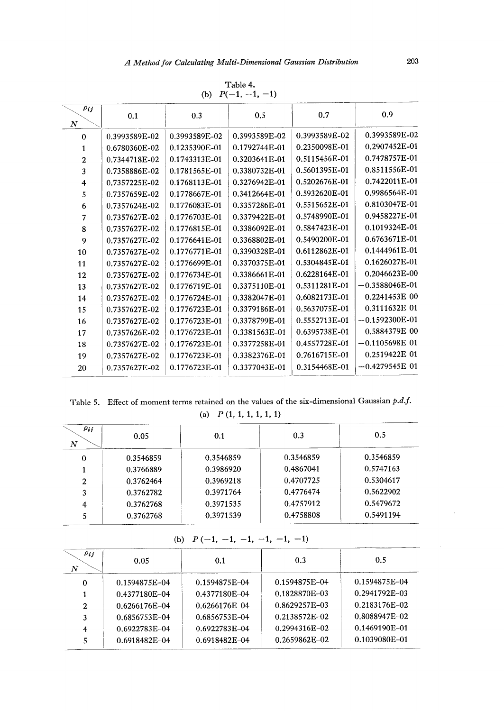|                                          |               | (b)           | $P(-1, -1, -1)$ |               |                  |
|------------------------------------------|---------------|---------------|-----------------|---------------|------------------|
| $\rho_{ij}$<br>$_{\scriptscriptstyle N}$ | 0.1           | 0.3           | 0.5             | 0.7           | 0.9              |
| $\theta$                                 | 0.3993589E-02 | 0.3993589E-02 | 0.3993589E-02   | 0.3993589E-02 | 0.3993589E-02    |
| 1                                        | 0.6780360E-02 | 0.1235390E-01 | 0.1792744E-01   | 0.2350098E-01 | 0.2907452E-01    |
| 2                                        | 0.7344718E-02 | 0.1743313E-01 | 0.3203641E-01   | 0.5115456E-01 | 0.7478757E-01    |
| 3                                        | 0.7358886E-02 | 0.1781565E-01 | 0.3380732E-01   | 0.5601395E-01 | 0.8511556E-01    |
| 4                                        | 0.7357225E-02 | 0.1768113E-01 | 0.3276942E-01   | 0.5202676E-01 | 0.7422011E-01    |
| 5                                        | 0.7357659E-02 | 0.1778667E-01 | 0.3412664E-01   | 0.5932620E-01 | 0.9986564E-01    |
| 6                                        | 0.7357624E-02 | 0.1776083E-01 | 0.3357286E-01   | 0.5515652E-01 | 0.8103047E-01    |
| 7                                        | 0.7357627E-02 | 0.1776703E-01 | 0.3379422E-01   | 0.5748990E-01 | 0.9458227E-01    |
| 8                                        | 0.7357627E-02 | 0.1776815E-01 | 0.3386092E-01   | 0.5847423E-01 | 0.1019324E-01    |
| 9                                        | 0.7357627E-02 | 0.1776641E-01 | 0.3368802E-01   | 0.5490200E-01 | 0.6763671E-01    |
| 10                                       | 0.7357627E-02 | 0.1776771E-01 | 0.3390328E-01   | 0.6112862E-01 | 0.1444961E-01    |
| 11                                       | 0.7357627E-02 | 0.1776699E-01 | 0.3370375E-01   | 0.5304845E-01 | 0.1626027E-01    |
| 12                                       | 0.7357627E-02 | 0.1776734E-01 | 0.3386661E-01   | 0.6228164E-01 | 0.2046623E-00    |
| 13                                       | 0.7357627E-02 | 0.1776719E-01 | 0.3375110E-01   | 0.5311281E-01 | $-0.3588046E-01$ |
| 14                                       | 0.7357627E-02 | 0.1776724E-01 | 0.3382047E-01   | 0.6082173E-01 | 0.2241453E 00    |
| 15                                       | 0.7357627E-02 | 0.1776723E-01 | 0.3379186E-01   | 0.5637075E-01 | 0.3111632E 01    |
| 16                                       | 0.7357627E-02 | 0.1776723E-01 | 0.3378799E-01   | 0.5552713E-01 | $-0.1592300E-01$ |
| 17                                       | 0.7357626E-02 | 0.1776723E-01 | 0.3381563E-01   | 0.6395738E-01 | 0.5884379E 00    |
| 18                                       | 0.7357627E-02 | 0.1776723E-01 | 0.3377258E-01   | 0.4557728E-01 | $-0.1105698E$ 01 |
| 19                                       | 0.7357627E-02 | 0.1776723E-01 | 0.3382376E-01   | 0.7616715E-01 | 0.2519422E 01    |
| 20                                       | 0.7357627E-02 | 0.1776723E-01 | 0.3377043E-01   | 0.3154468E-01 | $-0.4279545E$ 01 |
|                                          |               |               |                 |               |                  |

Table 4

Table 5. Effect of moment terms retained on the values of the six-dimensional Gaussian  $p.d$ 

| (a) $P(1, 1, 1, 1, 1, 1)$ |  |  |  |  |  |  |  |
|---------------------------|--|--|--|--|--|--|--|
|---------------------------|--|--|--|--|--|--|--|

| Pij<br>N | 0.05      | 0.1       | 0.3       | 0.5       |
|----------|-----------|-----------|-----------|-----------|
| 0        | 0.3546859 | 0.3546859 | 0.3546859 | 0.3546859 |
|          | 0.3766889 | 0.3986920 | 0.4867041 | 0.5747163 |
| 2        | 0.3762464 | 0.3969218 | 0.4707725 | 0.5304617 |
| 3        | 0.3762782 | 0.3971764 | 0.4776474 | 0.5622902 |
| 4        | 0.3762768 | 0.3971535 | 0.4757912 | 0.5479672 |
| 5        | 0.3762768 | 0.3971539 | 0.4758808 | 0.5491194 |

| (b) $P(-1, -1, -1, -1, -1, -1)$ |
|---------------------------------|
|---------------------------------|

| $\rho_{ij}$<br>$\boldsymbol{N}$ | 0.05              | 0.1           | 0.3           | 0.5           |
|---------------------------------|-------------------|---------------|---------------|---------------|
| $\Omega$                        | 0.1594875E-04     | 0.1594875E-04 | 0.1594875E-04 | 0.1594875E-04 |
|                                 | 0.4377180E-04     | 0.4377180E-04 | 0.1828870E-03 | 0.2941792E-03 |
| 2                               | 0.6266176E-04     | 0.6266176E-04 | 0.8629257E-03 | 0.2183176E-02 |
| 3                               | 0.6856753E-04     | 0.6856753E-04 | 0.2138572E-02 | 0.8088947E-02 |
| 4                               | $0.6922783E - 04$ | 0.6922783E-04 | 0.2994316E-02 | 0.1469190E-01 |
|                                 | 0.6918482E-04     | 0.6918482E-04 | 0.2659862E-02 | 0.1039080E-01 |
|                                 |                   |               |               |               |